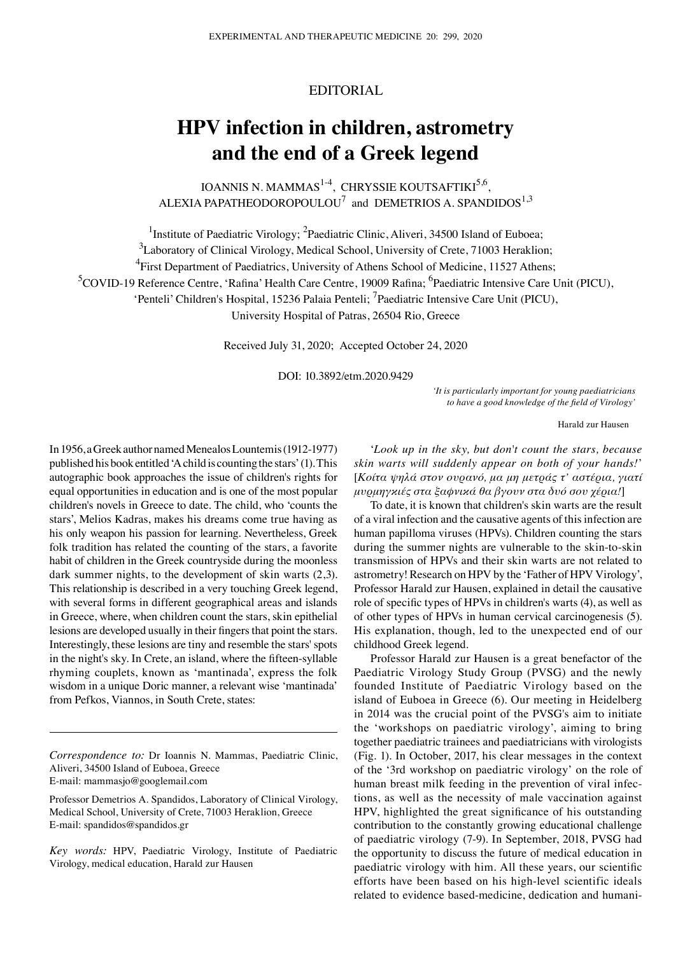# EDITORIAL

# **HPV infection in children, astrometry and the end of a Greek legend**

IOANNIS N. MAMMAS<sup>1-4</sup>, CHRYSSIE KOUTSAFTIKI<sup>5,6</sup>, ALEXIA PAPATHEODOROPOULOU $^7$  and DEMETRIOS A. SPANDIDOS $^{1,3}$ 

<sup>1</sup>Institute of Paediatric Virology; <sup>2</sup>Paediatric Clinic, Aliveri, 34500 Island of Euboea;

 ${}^{3}$ Laboratory of Clinical Virology, Medical School, University of Crete, 71003 Heraklion;

<sup>4</sup> First Department of Paediatrics, University of Athens School of Medicine, 11527 Athens;

<sup>5</sup>COVID-19 Reference Centre, 'Rafina' Health Care Centre, 19009 Rafina; <sup>6</sup>Paediatric Intensive Care Unit (PICU),

'Penteli' Children's Hospital, 15236 Palaia Penteli; <sup>7</sup> Paediatric Intensive Care Unit (PICU),

University Hospital of Patras, 26504 Rio, Greece

Received July 31, 2020; Accepted October 24, 2020

DOI: 10.3892/etm.2020.9429

*'It is particularly important for young paediatricians to have a good knowledge of the field of Virology'*

Harald zur Hausen

In 1956, a Greek author named Menealos Lountemis(1912‑1977) published his book entitled 'A child is counting the stars'(1). This autographic book approaches the issue of children's rights for equal opportunities in education and is one of the most popular children's novels in Greece to date. The child, who 'counts the stars', Melios Kadras, makes his dreams come true having as his only weapon his passion for learning. Nevertheless, Greek folk tradition has related the counting of the stars, a favorite habit of children in the Greek countryside during the moonless dark summer nights, to the development of skin warts (2,3). This relationship is described in a very touching Greek legend, with several forms in different geographical areas and islands in Greece, where, when children count the stars, skin epithelial lesions are developed usually in their fingers that point the stars. Interestingly, these lesions are tiny and resemble the stars' spots in the night's sky. In Crete, an island, where the fifteen‑syllable rhyming couplets, known as 'mantinada', express the folk wisdom in a unique Doric manner, a relevant wise 'mantinada' from Pefkos, Viannos, in South Crete, states:

*Correspondence to:* Dr Ioannis N. Mammas, Paediatric Clinic, Aliveri, 34500 Island of Euboea, Greece E‑mail: mammasjo@googlemail.com

Professor Demetrios A. Spandidos, Laboratory of Clinical Virology, Medical School, University of Crete, 71003 Heraklion, Greece E‑mail: spandidos@spandidos.gr

*Key words:* HPV, Paediatric Virology, Institute of Paediatric Virology, medical education, Harald zur Hausen

'*Look up in the sky, but don't count the stars, because skin warts will suddenly appear on both of your hands!*' [*Κοίτα ψηλά στον ουρανό, μα μη μετράς τ' αστέρια, γιατί μυρμηγκιές στα ξαφνικά θα βγουν στα δυό σου χέρια!*]

To date, it is known that children's skin warts are the result of a viral infection and the causative agents of this infection are human papilloma viruses (HPVs). Children counting the stars during the summer nights are vulnerable to the skin-to-skin transmission of HPVs and their skin warts are not related to astrometry! Research on HPV by the 'Father of HPV Virology', Professor Harald zur Hausen, explained in detail the causative role of specific types of HPVs in children's warts (4), as well as of other types of HPVs in human cervical carcinogenesis (5). His explanation, though, led to the unexpected end of our childhood Greek legend.

Professor Harald zur Hausen is a great benefactor of the Paediatric Virology Study Group (PVSG) and the newly founded Institute of Paediatric Virology based on the island of Euboea in Greece (6). Our meeting in Heidelberg in 2014 was the crucial point of the PVSG's aim to initiate the 'workshops on paediatric virology', aiming to bring together paediatric trainees and paediatricians with virologists (Fig. 1). In October, 2017, his clear messages in the context of the '3rd workshop on paediatric virology' on the role of human breast milk feeding in the prevention of viral infections, as well as the necessity of male vaccination against HPV, highlighted the great significance of his outstanding contribution to the constantly growing educational challenge of paediatric virology (7‑9). In September, 2018, PVSG had the opportunity to discuss the future of medical education in paediatric virology with him. All these years, our scientific efforts have been based on his high-level scientific ideals related to evidence based-medicine, dedication and humani-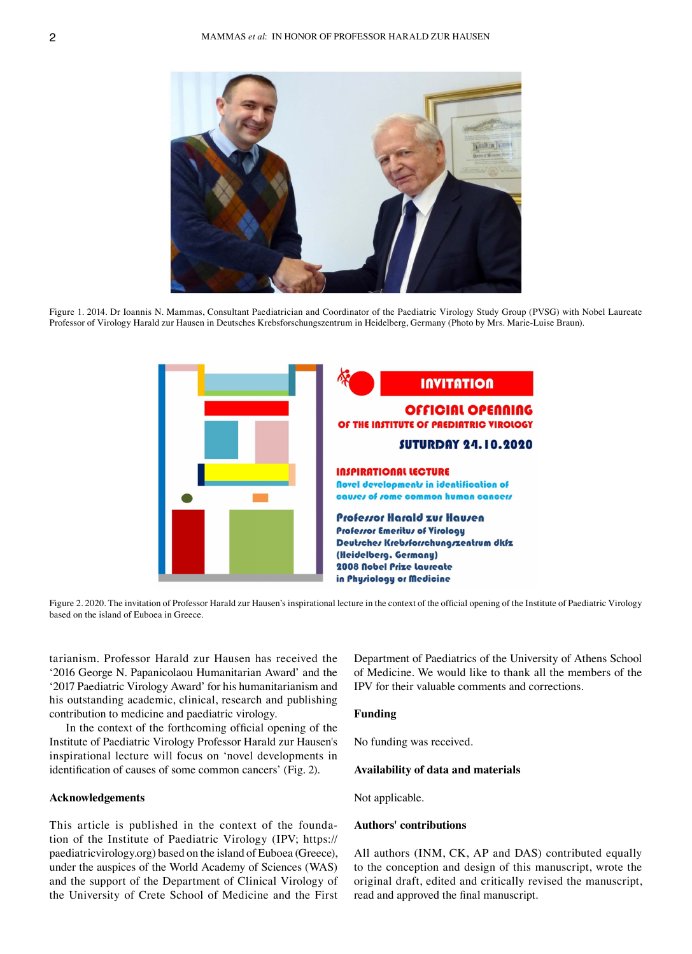

Figure 1. 2014. Dr Ioannis N. Mammas, Consultant Paediatrician and Coordinator of the Paediatric Virology Study Group (PVSG) with Nobel Laureate Professor of Virology Harald zur Hausen in Deutsches Krebsforschungszentrum in Heidelberg, Germany (Photo by Mrs. Marie‑Luise Braun).



Figure 2. 2020. The invitation of Professor Harald zur Hausen's inspirational lecture in the context of the official opening of the Institute of Paediatric Virology based on the island of Euboea in Greece.

tarianism. Professor Harald zur Hausen has received the '2016 George N. Papanicolaou Humanitarian Award' and the '2017 Paediatric Virology Award' for his humanitarianism and his outstanding academic, clinical, research and publishing contribution to medicine and paediatric virology.

In the context of the forthcoming official opening of the Institute of Paediatric Virology Professor Harald zur Hausen's inspirational lecture will focus on 'novel developments in identification of causes of some common cancers' (Fig. 2).

# **Acknowledgements**

This article is published in the context of the foundation of the Institute of Paediatric Virology (IPV; https:// paediatricvirology.org) based on the island of Euboea (Greece), under the auspices of the World Academy of Sciences (WAS) and the support of the Department of Clinical Virology of the University of Crete School of Medicine and the First Department of Paediatrics of the University of Athens School of Medicine. We would like to thank all the members of the IPV for their valuable comments and corrections.

#### **Funding**

No funding was received.

### **Availability of data and materials**

Not applicable.

# **Authors' contributions**

All authors (INM, CK, AP and DAS) contributed equally to the conception and design of this manuscript, wrote the original draft, edited and critically revised the manuscript, read and approved the final manuscript.